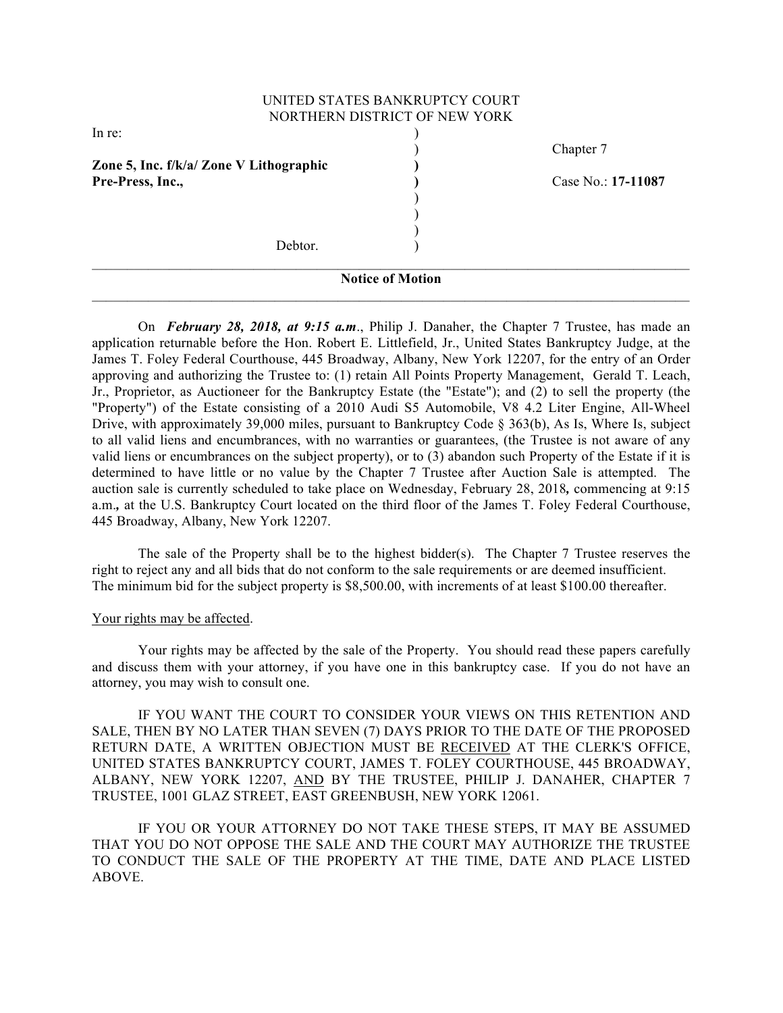## UNITED STATES BANKRUPTCY COURT NORTHERN DISTRICT OF NEW YORK

| <b>Notice of Motion</b>                 |  |                    |
|-----------------------------------------|--|--------------------|
| Debtor.                                 |  |                    |
|                                         |  |                    |
|                                         |  |                    |
|                                         |  |                    |
| Pre-Press, Inc.,                        |  | Case No.: 17-11087 |
| Zone 5, Inc. f/k/a/ Zone V Lithographic |  |                    |
|                                         |  | Chapter 7          |
| In re:                                  |  |                    |

On *February 28, 2018, at 9:15 a.m*., Philip J. Danaher, the Chapter 7 Trustee, has made an application returnable before the Hon. Robert E. Littlefield, Jr., United States Bankruptcy Judge, at the James T. Foley Federal Courthouse, 445 Broadway, Albany, New York 12207, for the entry of an Order approving and authorizing the Trustee to: (1) retain All Points Property Management, Gerald T. Leach, Jr., Proprietor, as Auctioneer for the Bankruptcy Estate (the "Estate"); and (2) to sell the property (the "Property") of the Estate consisting of a 2010 Audi S5 Automobile, V8 4.2 Liter Engine, All-Wheel Drive, with approximately 39,000 miles, pursuant to Bankruptcy Code § 363(b), As Is, Where Is, subject to all valid liens and encumbrances, with no warranties or guarantees, (the Trustee is not aware of any valid liens or encumbrances on the subject property), or to (3) abandon such Property of the Estate if it is determined to have little or no value by the Chapter 7 Trustee after Auction Sale is attempted. The auction sale is currently scheduled to take place on Wednesday, February 28, 2018*,* commencing at 9:15 a.m.*,* at the U.S. Bankruptcy Court located on the third floor of the James T. Foley Federal Courthouse, 445 Broadway, Albany, New York 12207.

The sale of the Property shall be to the highest bidder(s). The Chapter 7 Trustee reserves the right to reject any and all bids that do not conform to the sale requirements or are deemed insufficient. The minimum bid for the subject property is \$8,500.00, with increments of at least \$100.00 thereafter.

#### Your rights may be affected.

Your rights may be affected by the sale of the Property. You should read these papers carefully and discuss them with your attorney, if you have one in this bankruptcy case. If you do not have an attorney, you may wish to consult one.

IF YOU WANT THE COURT TO CONSIDER YOUR VIEWS ON THIS RETENTION AND SALE, THEN BY NO LATER THAN SEVEN (7) DAYS PRIOR TO THE DATE OF THE PROPOSED RETURN DATE, A WRITTEN OBJECTION MUST BE RECEIVED AT THE CLERK'S OFFICE, UNITED STATES BANKRUPTCY COURT, JAMES T. FOLEY COURTHOUSE, 445 BROADWAY, ALBANY, NEW YORK 12207, AND BY THE TRUSTEE, PHILIP J. DANAHER, CHAPTER 7 TRUSTEE, 1001 GLAZ STREET, EAST GREENBUSH, NEW YORK 12061.

IF YOU OR YOUR ATTORNEY DO NOT TAKE THESE STEPS, IT MAY BE ASSUMED THAT YOU DO NOT OPPOSE THE SALE AND THE COURT MAY AUTHORIZE THE TRUSTEE TO CONDUCT THE SALE OF THE PROPERTY AT THE TIME, DATE AND PLACE LISTED ABOVE.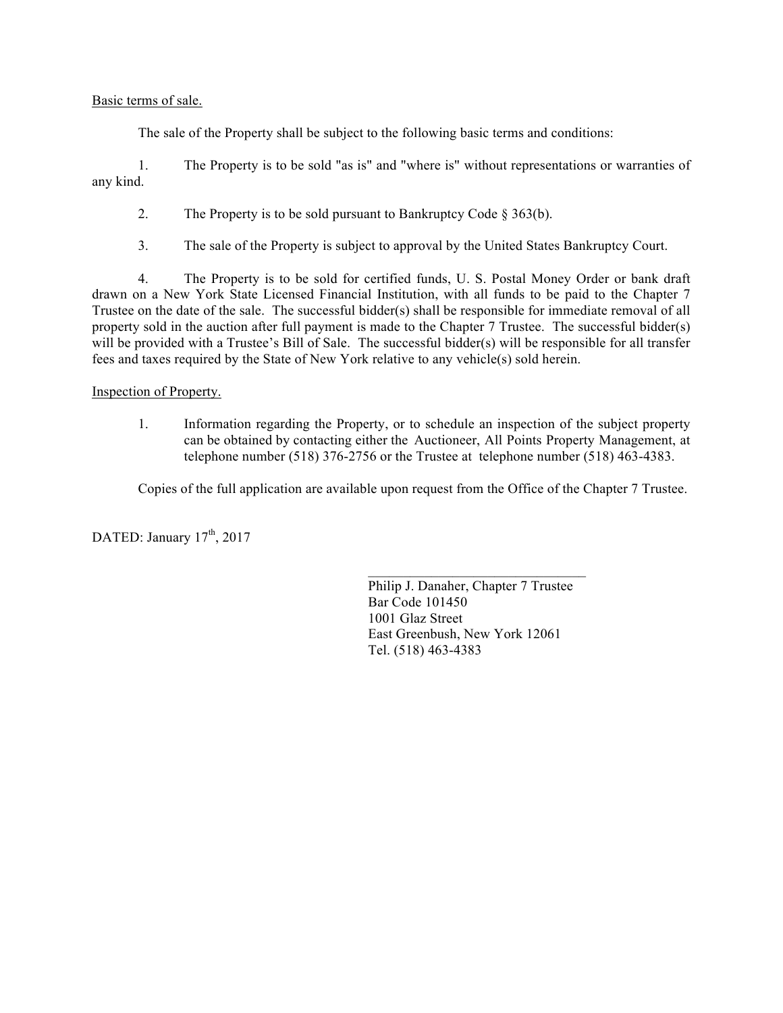### Basic terms of sale.

The sale of the Property shall be subject to the following basic terms and conditions:

1. The Property is to be sold "as is" and "where is" without representations or warranties of any kind.

2. The Property is to be sold pursuant to Bankruptcy Code § 363(b).

3. The sale of the Property is subject to approval by the United States Bankruptcy Court.

4. The Property is to be sold for certified funds, U. S. Postal Money Order or bank draft drawn on a New York State Licensed Financial Institution, with all funds to be paid to the Chapter 7 Trustee on the date of the sale. The successful bidder(s) shall be responsible for immediate removal of all property sold in the auction after full payment is made to the Chapter 7 Trustee. The successful bidder(s) will be provided with a Trustee's Bill of Sale. The successful bidder(s) will be responsible for all transfer fees and taxes required by the State of New York relative to any vehicle(s) sold herein.

## Inspection of Property.

1. Information regarding the Property, or to schedule an inspection of the subject property can be obtained by contacting either the Auctioneer, All Points Property Management, at telephone number (518) 376-2756 or the Trustee at telephone number (518) 463-4383.

Copies of the full application are available upon request from the Office of the Chapter 7 Trustee.

DATED: January  $17^{th}$ , 2017

Philip J. Danaher, Chapter 7 Trustee Bar Code 101450 1001 Glaz Street East Greenbush, New York 12061 Tel. (518) 463-4383

 $\mathcal{L}_\text{max}$  and  $\mathcal{L}_\text{max}$  and  $\mathcal{L}_\text{max}$  and  $\mathcal{L}_\text{max}$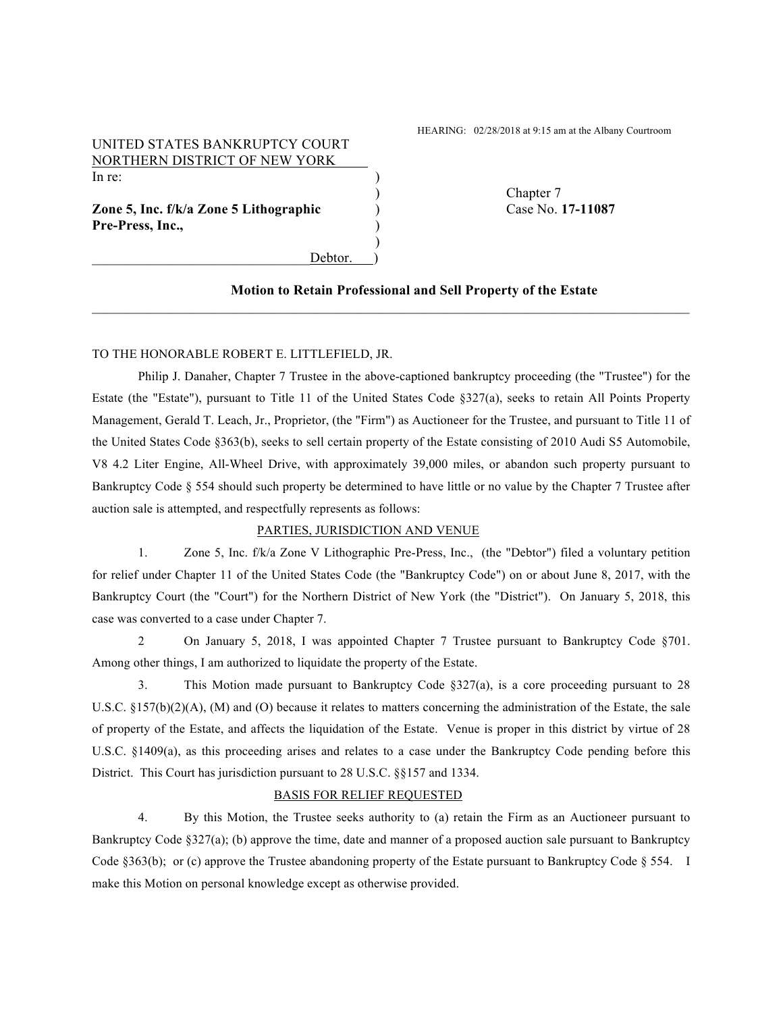## UNITED STATES BANKRUPTCY COURT NORTHERN DISTRICT OF NEW YORK In re:  $\qquad \qquad$ )

**Zone 5, Inc. f/k/a Zone 5 Lithographic** ) Case No. **17-11087** Pre-Press, Inc.,

Debtor.

)

HEARING: 02/28/2018 at 9:15 am at the Albany Courtroom

) Chapter 7

#### **Motion to Retain Professional and Sell Property of the Estate**

#### TO THE HONORABLE ROBERT E. LITTLEFIELD, JR.

Philip J. Danaher, Chapter 7 Trustee in the above-captioned bankruptcy proceeding (the "Trustee") for the Estate (the "Estate"), pursuant to Title 11 of the United States Code §327(a), seeks to retain All Points Property Management, Gerald T. Leach, Jr., Proprietor, (the "Firm") as Auctioneer for the Trustee, and pursuant to Title 11 of the United States Code §363(b), seeks to sell certain property of the Estate consisting of 2010 Audi S5 Automobile, V8 4.2 Liter Engine, All-Wheel Drive, with approximately 39,000 miles, or abandon such property pursuant to Bankruptcy Code § 554 should such property be determined to have little or no value by the Chapter 7 Trustee after auction sale is attempted, and respectfully represents as follows:

 $\mathcal{L}_\mathcal{L} = \{ \mathcal{L}_\mathcal{L} = \{ \mathcal{L}_\mathcal{L} = \{ \mathcal{L}_\mathcal{L} = \{ \mathcal{L}_\mathcal{L} = \{ \mathcal{L}_\mathcal{L} = \{ \mathcal{L}_\mathcal{L} = \{ \mathcal{L}_\mathcal{L} = \{ \mathcal{L}_\mathcal{L} = \{ \mathcal{L}_\mathcal{L} = \{ \mathcal{L}_\mathcal{L} = \{ \mathcal{L}_\mathcal{L} = \{ \mathcal{L}_\mathcal{L} = \{ \mathcal{L}_\mathcal{L} = \{ \mathcal{L}_\mathcal{$ 

#### PARTIES, JURISDICTION AND VENUE

1. Zone 5, Inc. f/k/a Zone V Lithographic Pre-Press, Inc., (the "Debtor") filed a voluntary petition for relief under Chapter 11 of the United States Code (the "Bankruptcy Code") on or about June 8, 2017, with the Bankruptcy Court (the "Court") for the Northern District of New York (the "District"). On January 5, 2018, this case was converted to a case under Chapter 7.

2 On January 5, 2018, I was appointed Chapter 7 Trustee pursuant to Bankruptcy Code §701. Among other things, I am authorized to liquidate the property of the Estate.

3. This Motion made pursuant to Bankruptcy Code §327(a), is a core proceeding pursuant to 28 U.S.C.  $\S 157(b)(2)(A)$ , (M) and (O) because it relates to matters concerning the administration of the Estate, the sale of property of the Estate, and affects the liquidation of the Estate. Venue is proper in this district by virtue of 28 U.S.C. §1409(a), as this proceeding arises and relates to a case under the Bankruptcy Code pending before this District. This Court has jurisdiction pursuant to 28 U.S.C. §§157 and 1334.

#### BASIS FOR RELIEF REQUESTED

4. By this Motion, the Trustee seeks authority to (a) retain the Firm as an Auctioneer pursuant to Bankruptcy Code §327(a); (b) approve the time, date and manner of a proposed auction sale pursuant to Bankruptcy Code  $§363(b)$ ; or (c) approve the Trustee abandoning property of the Estate pursuant to Bankruptcy Code  $§554$ . I make this Motion on personal knowledge except as otherwise provided.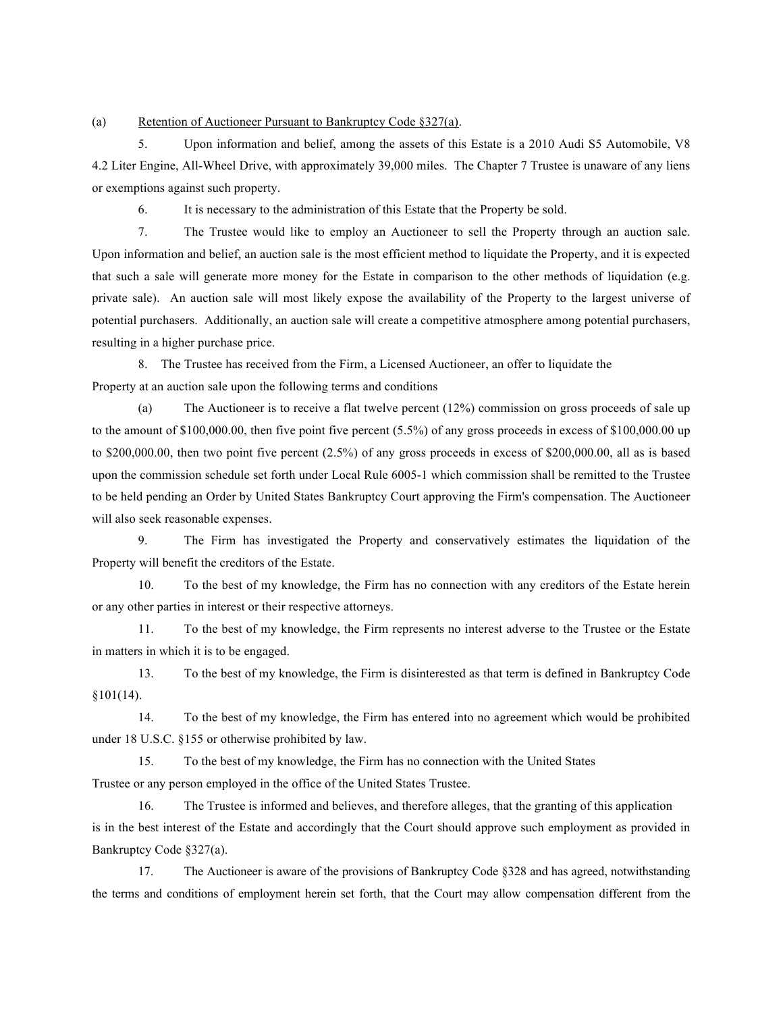(a) Retention of Auctioneer Pursuant to Bankruptcy Code §327(a).

5. Upon information and belief, among the assets of this Estate is a 2010 Audi S5 Automobile, V8 4.2 Liter Engine, All-Wheel Drive, with approximately 39,000 miles. The Chapter 7 Trustee is unaware of any liens or exemptions against such property.

6. It is necessary to the administration of this Estate that the Property be sold.

7. The Trustee would like to employ an Auctioneer to sell the Property through an auction sale. Upon information and belief, an auction sale is the most efficient method to liquidate the Property, and it is expected that such a sale will generate more money for the Estate in comparison to the other methods of liquidation (e.g. private sale). An auction sale will most likely expose the availability of the Property to the largest universe of potential purchasers. Additionally, an auction sale will create a competitive atmosphere among potential purchasers, resulting in a higher purchase price.

8. The Trustee has received from the Firm, a Licensed Auctioneer, an offer to liquidate the Property at an auction sale upon the following terms and conditions

(a) The Auctioneer is to receive a flat twelve percent (12%) commission on gross proceeds of sale up to the amount of \$100,000.00, then five point five percent (5.5%) of any gross proceeds in excess of \$100,000.00 up to \$200,000.00, then two point five percent (2.5%) of any gross proceeds in excess of \$200,000.00, all as is based upon the commission schedule set forth under Local Rule 6005-1 which commission shall be remitted to the Trustee to be held pending an Order by United States Bankruptcy Court approving the Firm's compensation. The Auctioneer will also seek reasonable expenses.

9. The Firm has investigated the Property and conservatively estimates the liquidation of the Property will benefit the creditors of the Estate.

10. To the best of my knowledge, the Firm has no connection with any creditors of the Estate herein or any other parties in interest or their respective attorneys.

11. To the best of my knowledge, the Firm represents no interest adverse to the Trustee or the Estate in matters in which it is to be engaged.

13. To the best of my knowledge, the Firm is disinterested as that term is defined in Bankruptcy Code §101(14).

14. To the best of my knowledge, the Firm has entered into no agreement which would be prohibited under 18 U.S.C. §155 or otherwise prohibited by law.

15. To the best of my knowledge, the Firm has no connection with the United States

Trustee or any person employed in the office of the United States Trustee.

16. The Trustee is informed and believes, and therefore alleges, that the granting of this application is in the best interest of the Estate and accordingly that the Court should approve such employment as provided in Bankruptcy Code §327(a).

17. The Auctioneer is aware of the provisions of Bankruptcy Code §328 and has agreed, notwithstanding the terms and conditions of employment herein set forth, that the Court may allow compensation different from the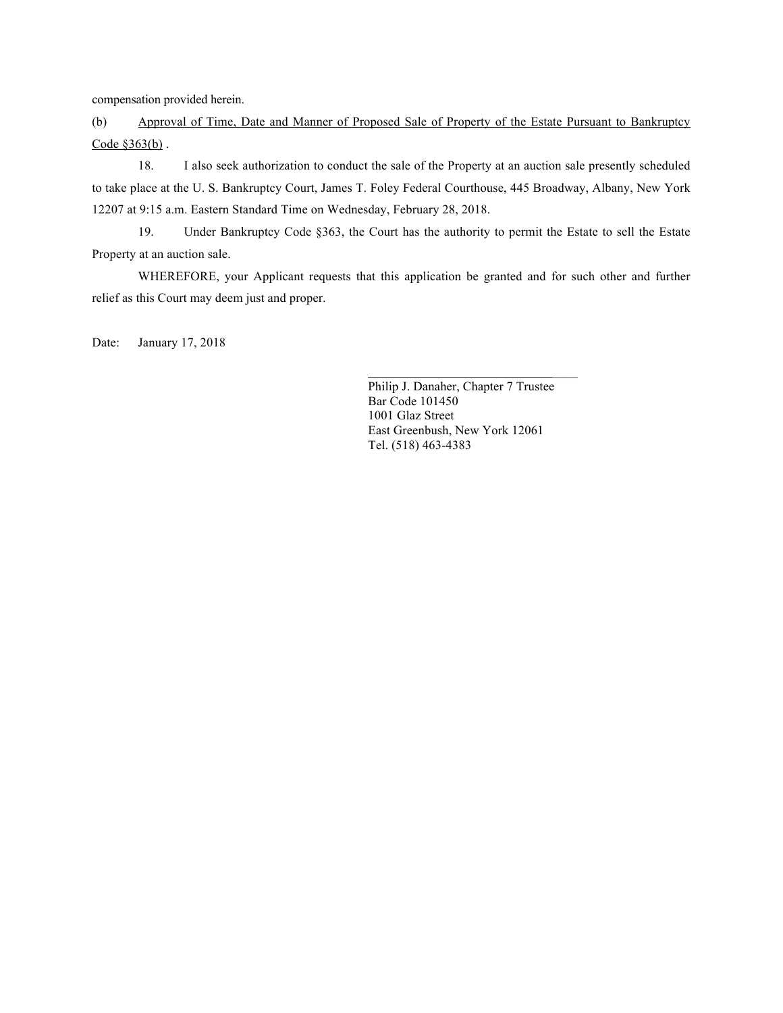compensation provided herein.

(b) Approval of Time, Date and Manner of Proposed Sale of Property of the Estate Pursuant to Bankruptcy Code §363(b) .

18. I also seek authorization to conduct the sale of the Property at an auction sale presently scheduled to take place at the U. S. Bankruptcy Court, James T. Foley Federal Courthouse, 445 Broadway, Albany, New York 12207 at 9:15 a.m. Eastern Standard Time on Wednesday, February 28, 2018.

19. Under Bankruptcy Code §363, the Court has the authority to permit the Estate to sell the Estate Property at an auction sale.

WHEREFORE, your Applicant requests that this application be granted and for such other and further relief as this Court may deem just and proper.

Date: January 17, 2018

Philip J. Danaher, Chapter 7 Trustee Bar Code 101450 1001 Glaz Street East Greenbush, New York 12061 Tel. (518) 463-4383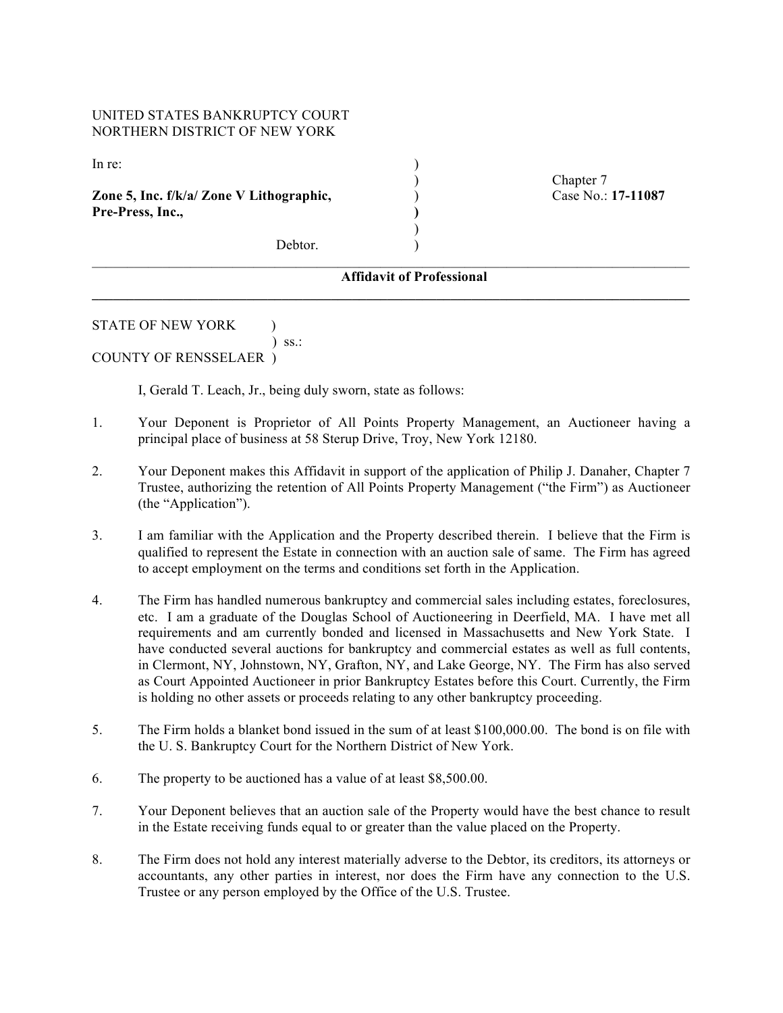## UNITED STATES BANKRUPTCY COURT NORTHERN DISTRICT OF NEW YORK

In re:  $\qquad \qquad$ )

**Zone 5, Inc. f/k/a/ Zone V Lithographic,** ) Case No.: **17-11087** ) **Pre-Press, Inc., )**

) Chapter 7

Debtor.

#### $\mathcal{L}_\text{max} = \mathcal{L}_\text{max} = \mathcal{L}_\text{max} = \mathcal{L}_\text{max} = \mathcal{L}_\text{max} = \mathcal{L}_\text{max} = \mathcal{L}_\text{max} = \mathcal{L}_\text{max} = \mathcal{L}_\text{max} = \mathcal{L}_\text{max} = \mathcal{L}_\text{max} = \mathcal{L}_\text{max} = \mathcal{L}_\text{max} = \mathcal{L}_\text{max} = \mathcal{L}_\text{max} = \mathcal{L}_\text{max} = \mathcal{L}_\text{max} = \mathcal{L}_\text{max} = \mathcal{$ **Affidavit of Professional**

**\_\_\_\_\_\_\_\_\_\_\_\_\_\_\_\_\_\_\_\_\_\_\_\_\_\_\_\_\_\_\_\_\_\_\_\_\_\_\_\_\_\_\_\_\_\_\_\_\_\_\_\_\_\_\_\_\_\_\_\_\_\_\_\_\_\_\_\_\_\_\_\_\_\_\_\_\_\_\_\_\_\_\_\_\_**

)

#### STATE OF NEW YORK  $\qquad$  )

) ss.:

## COUNTY OF RENSSELAER )

I, Gerald T. Leach, Jr., being duly sworn, state as follows:

- 1. Your Deponent is Proprietor of All Points Property Management, an Auctioneer having a principal place of business at 58 Sterup Drive, Troy, New York 12180.
- 2. Your Deponent makes this Affidavit in support of the application of Philip J. Danaher, Chapter 7 Trustee, authorizing the retention of All Points Property Management ("the Firm") as Auctioneer (the "Application").
- 3. I am familiar with the Application and the Property described therein. I believe that the Firm is qualified to represent the Estate in connection with an auction sale of same. The Firm has agreed to accept employment on the terms and conditions set forth in the Application.
- 4. The Firm has handled numerous bankruptcy and commercial sales including estates, foreclosures, etc. I am a graduate of the Douglas School of Auctioneering in Deerfield, MA. I have met all requirements and am currently bonded and licensed in Massachusetts and New York State. I have conducted several auctions for bankruptcy and commercial estates as well as full contents, in Clermont, NY, Johnstown, NY, Grafton, NY, and Lake George, NY. The Firm has also served as Court Appointed Auctioneer in prior Bankruptcy Estates before this Court. Currently, the Firm is holding no other assets or proceeds relating to any other bankruptcy proceeding.
- 5. The Firm holds a blanket bond issued in the sum of at least \$100,000.00. The bond is on file with the U. S. Bankruptcy Court for the Northern District of New York.
- 6. The property to be auctioned has a value of at least \$8,500.00.
- 7. Your Deponent believes that an auction sale of the Property would have the best chance to result in the Estate receiving funds equal to or greater than the value placed on the Property.
- 8. The Firm does not hold any interest materially adverse to the Debtor, its creditors, its attorneys or accountants, any other parties in interest, nor does the Firm have any connection to the U.S. Trustee or any person employed by the Office of the U.S. Trustee.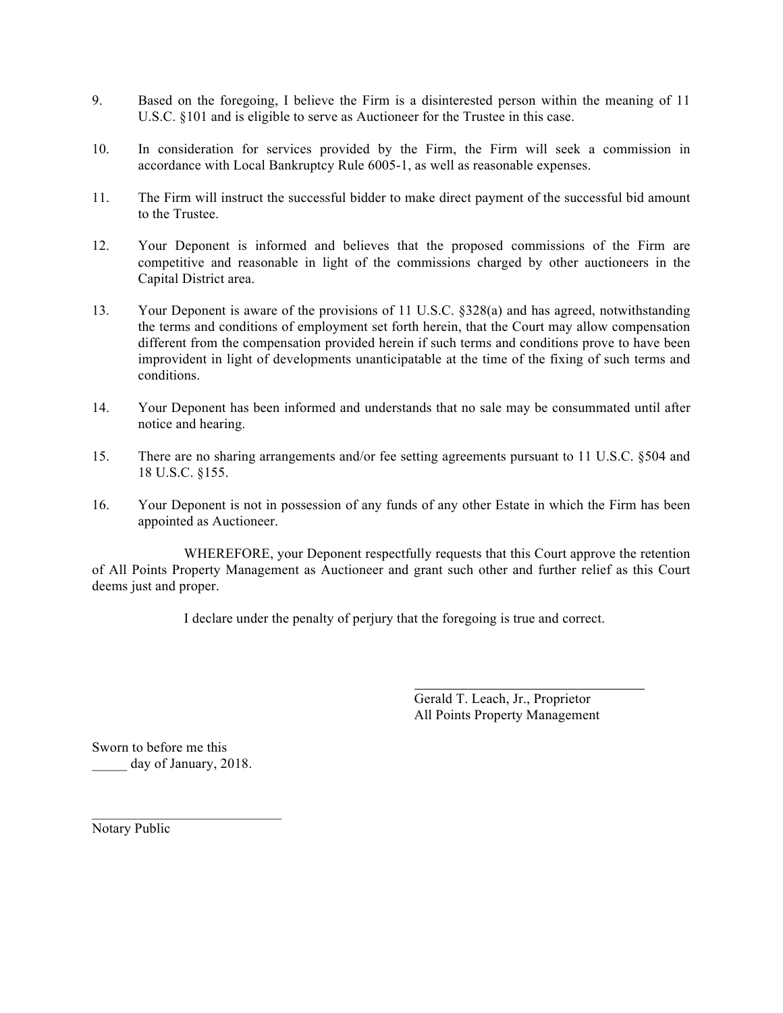- 9. Based on the foregoing, I believe the Firm is a disinterested person within the meaning of 11 U.S.C. §101 and is eligible to serve as Auctioneer for the Trustee in this case.
- 10. In consideration for services provided by the Firm, the Firm will seek a commission in accordance with Local Bankruptcy Rule 6005-1, as well as reasonable expenses.
- 11. The Firm will instruct the successful bidder to make direct payment of the successful bid amount to the Trustee.
- 12. Your Deponent is informed and believes that the proposed commissions of the Firm are competitive and reasonable in light of the commissions charged by other auctioneers in the Capital District area.
- 13. Your Deponent is aware of the provisions of 11 U.S.C. §328(a) and has agreed, notwithstanding the terms and conditions of employment set forth herein, that the Court may allow compensation different from the compensation provided herein if such terms and conditions prove to have been improvident in light of developments unanticipatable at the time of the fixing of such terms and conditions.
- 14. Your Deponent has been informed and understands that no sale may be consummated until after notice and hearing.
- 15. There are no sharing arrangements and/or fee setting agreements pursuant to 11 U.S.C. §504 and 18 U.S.C. §155.
- 16. Your Deponent is not in possession of any funds of any other Estate in which the Firm has been appointed as Auctioneer.

WHEREFORE, your Deponent respectfully requests that this Court approve the retention of All Points Property Management as Auctioneer and grant such other and further relief as this Court deems just and proper.

I declare under the penalty of perjury that the foregoing is true and correct.

Gerald T. Leach, Jr., Proprietor All Points Property Management

Sworn to before me this day of January, 2018.

Notary Public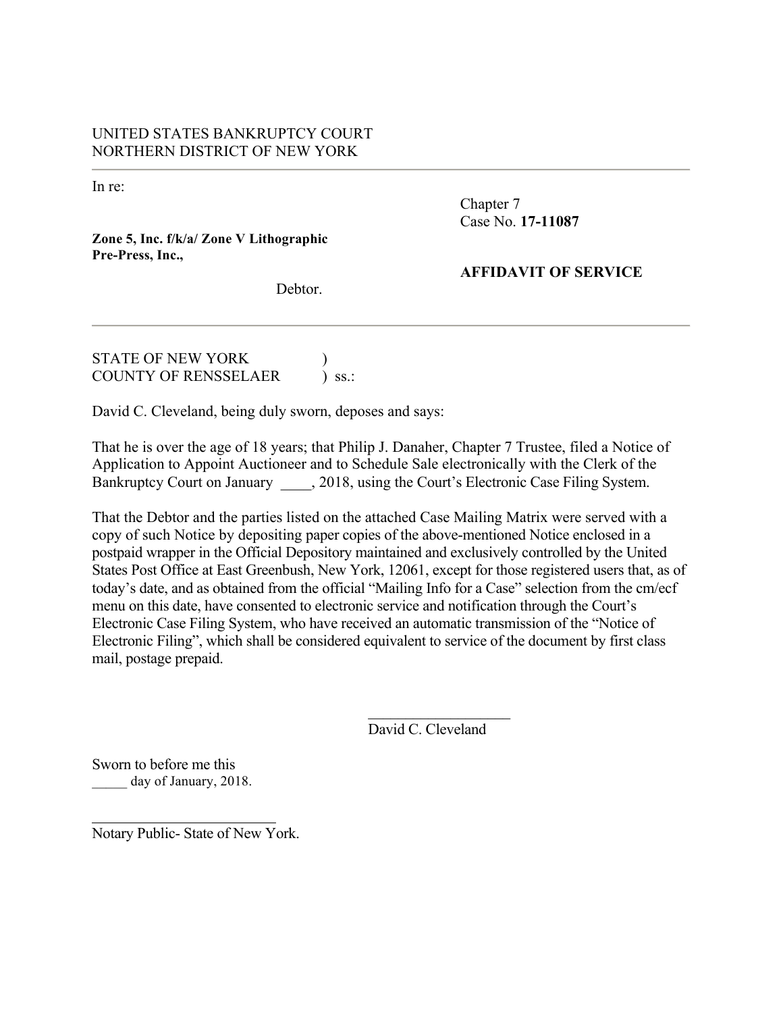# UNITED STATES BANKRUPTCY COURT NORTHERN DISTRICT OF NEW YORK

In re:

Chapter 7 Case No. **17-11087**

## **Zone 5, Inc. f/k/a/ Zone V Lithographic Pre-Press, Inc.,**

**AFFIDAVIT OF SERVICE**

Debtor.

STATE OF NEW YORK ) COUNTY OF RENSSELAER ) ss.:

David C. Cleveland, being duly sworn, deposes and says:

That he is over the age of 18 years; that Philip J. Danaher, Chapter 7 Trustee, filed a Notice of Application to Appoint Auctioneer and to Schedule Sale electronically with the Clerk of the Bankruptcy Court on January 2018, using the Court's Electronic Case Filing System.

That the Debtor and the parties listed on the attached Case Mailing Matrix were served with a copy of such Notice by depositing paper copies of the above-mentioned Notice enclosed in a postpaid wrapper in the Official Depository maintained and exclusively controlled by the United States Post Office at East Greenbush, New York, 12061, except for those registered users that, as of today's date, and as obtained from the official "Mailing Info for a Case" selection from the cm/ecf menu on this date, have consented to electronic service and notification through the Court's Electronic Case Filing System, who have received an automatic transmission of the "Notice of Electronic Filing", which shall be considered equivalent to service of the document by first class mail, postage prepaid.

> $\mathcal{L}_\text{max}$  , where  $\mathcal{L}_\text{max}$  , we have the set of  $\mathcal{L}_\text{max}$ David C. Cleveland

Sworn to before me this day of January, 2018.

Notary Public- State of New York.